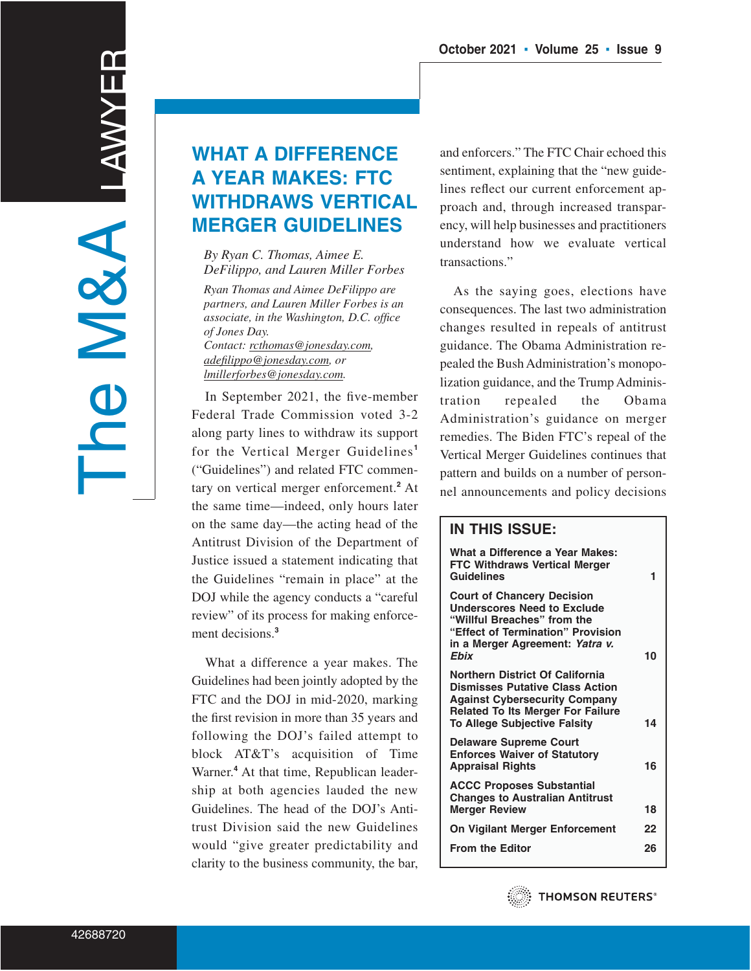# **WHAT A DIFFERENCE A YEAR MAKES: FTC WITHDRAWS VERTICAL MERGER GUIDELINES**

*By Ryan C. Thomas, Aimee E. DeFilippo, and Lauren Miller Forbes*

*Ryan Thomas and Aimee DeFilippo are partners, and Lauren Miller Forbes is an associate, in the Washington, D.C. office of Jones Day. Contact: rcthomas@jonesday.com, adefilippo@jonesday.com, or lmillerforbes@jonesday.com.*

In September 2021, the five-member Federal Trade Commission voted 3-2 along party lines to withdraw its support for the Vertical Merger Guidelines**<sup>1</sup>** ("Guidelines") and related FTC commentary on vertical merger enforcement.**<sup>2</sup>** At the same time—indeed, only hours later on the same day—the acting head of the Antitrust Division of the Department of Justice issued a statement indicating that the Guidelines "remain in place" at the DOJ while the agency conducts a "careful review" of its process for making enforcement decisions.**<sup>3</sup>**

What a difference a year makes. The Guidelines had been jointly adopted by the FTC and the DOJ in mid-2020, marking the first revision in more than 35 years and following the DOJ's failed attempt to block AT&T's acquisition of Time Warner.**<sup>4</sup>** At that time, Republican leadership at both agencies lauded the new Guidelines. The head of the DOJ's Antitrust Division said the new Guidelines would "give greater predictability and clarity to the business community, the bar,

and enforcers." The FTC Chair echoed this sentiment, explaining that the "new guidelines reflect our current enforcement approach and, through increased transparency, will help businesses and practitioners understand how we evaluate vertical transactions."

As the saying goes, elections have consequences. The last two administration changes resulted in repeals of antitrust guidance. The Obama Administration repealed the Bush Administration's monopolization guidance, and the Trump Administration repealed the Obama Administration's guidance on merger remedies. The Biden FTC's repeal of the Vertical Merger Guidelines continues that pattern and builds on a number of personnel announcements and policy decisions

# **IN THIS ISSUE:**

| What a Difference a Year Makes:<br><b>FTC Withdraws Vertical Merger</b><br>Guidelines                                                                                                                | 1  |
|------------------------------------------------------------------------------------------------------------------------------------------------------------------------------------------------------|----|
| <b>Court of Chancery Decision</b><br><b>Underscores Need to Exclude</b><br>"Willful Breaches" from the<br>"Effect of Termination" Provision<br>in a Merger Agreement: Yatra v.<br>Ebix               | 10 |
| Northern District Of California<br><b>Dismisses Putative Class Action</b><br><b>Against Cybersecurity Company</b><br><b>Related To Its Merger For Failure</b><br><b>To Allege Subjective Falsity</b> | 14 |
| <b>Delaware Supreme Court</b><br><b>Enforces Waiver of Statutory</b><br><b>Appraisal Rights</b>                                                                                                      | 16 |
| <b>ACCC Proposes Substantial</b><br><b>Changes to Australian Antitrust</b><br><b>Merger Review</b>                                                                                                   | 18 |
| On Vigilant Merger Enforcement                                                                                                                                                                       | 22 |
| <b>From the Editor</b>                                                                                                                                                                               | 26 |
|                                                                                                                                                                                                      |    |

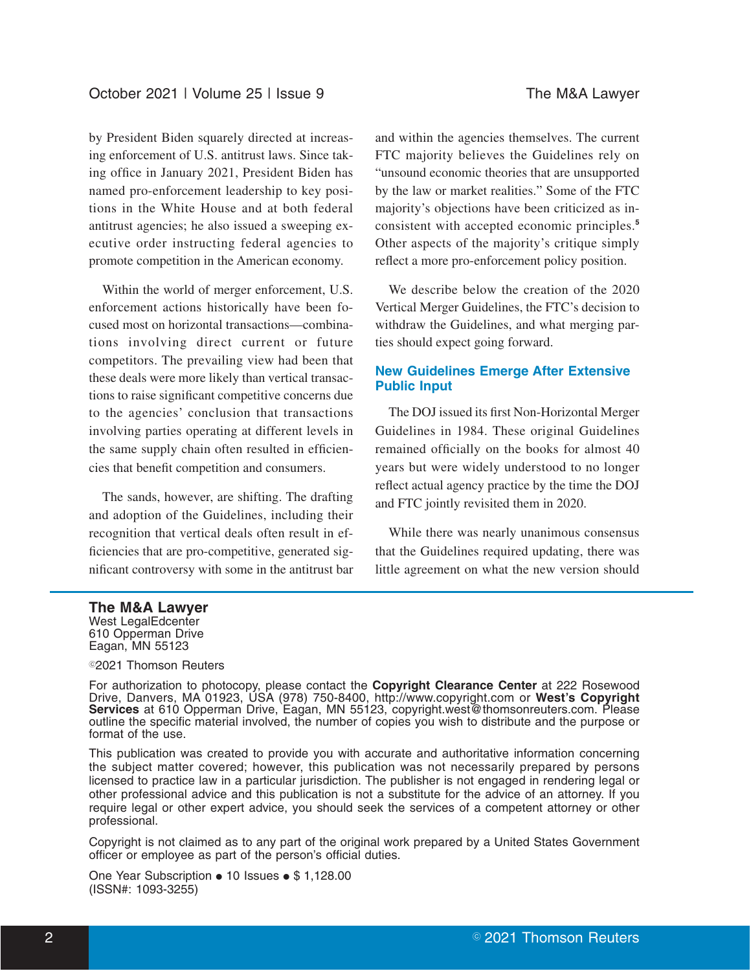by President Biden squarely directed at increasing enforcement of U.S. antitrust laws. Since taking office in January 2021, President Biden has named pro-enforcement leadership to key positions in the White House and at both federal antitrust agencies; he also issued a sweeping executive order instructing federal agencies to promote competition in the American economy.

Within the world of merger enforcement, U.S. enforcement actions historically have been focused most on horizontal transactions—combinations involving direct current or future competitors. The prevailing view had been that these deals were more likely than vertical transactions to raise significant competitive concerns due to the agencies' conclusion that transactions involving parties operating at different levels in the same supply chain often resulted in efficiencies that benefit competition and consumers.

The sands, however, are shifting. The drafting and adoption of the Guidelines, including their recognition that vertical deals often result in efficiencies that are pro-competitive, generated significant controversy with some in the antitrust bar and within the agencies themselves. The current FTC majority believes the Guidelines rely on "unsound economic theories that are unsupported by the law or market realities." Some of the FTC majority's objections have been criticized as inconsistent with accepted economic principles.**<sup>5</sup>** Other aspects of the majority's critique simply reflect a more pro-enforcement policy position.

We describe below the creation of the 2020 Vertical Merger Guidelines, the FTC's decision to withdraw the Guidelines, and what merging parties should expect going forward.

# **New Guidelines Emerge After Extensive Public Input**

The DOJ issued its first Non-Horizontal Merger Guidelines in 1984. These original Guidelines remained officially on the books for almost 40 years but were widely understood to no longer reflect actual agency practice by the time the DOJ and FTC jointly revisited them in 2020.

While there was nearly unanimous consensus that the Guidelines required updating, there was little agreement on what the new version should

#### **The M&A Lawyer**

West LegalEdcenter 610 Opperman Drive Eagan, MN 55123

<sup>©</sup>2021 Thomson Reuters

For authorization to photocopy, please contact the **Copyright Clearance Center** at 222 Rosewood Drive, Danvers, MA 01923, USA (978) 750-8400, http://www.copyright.com or **West's Copyright Services** at 610 Opperman Drive, Eagan, MN 55123, copyright.west@thomsonreuters.com. Please outline the specific material involved, the number of copies you wish to distribute and the purpose or format of the use.

This publication was created to provide you with accurate and authoritative information concerning the subject matter covered; however, this publication was not necessarily prepared by persons licensed to practice law in a particular jurisdiction. The publisher is not engaged in rendering legal or other professional advice and this publication is not a substitute for the advice of an attorney. If you require legal or other expert advice, you should seek the services of a competent attorney or other professional.

Copyright is not claimed as to any part of the original work prepared by a United States Government officer or employee as part of the person's official duties.

One Year Subscription  $\bullet$  10 Issues  $\bullet$  \$ 1,128.00 (ISSN#: 1093-3255)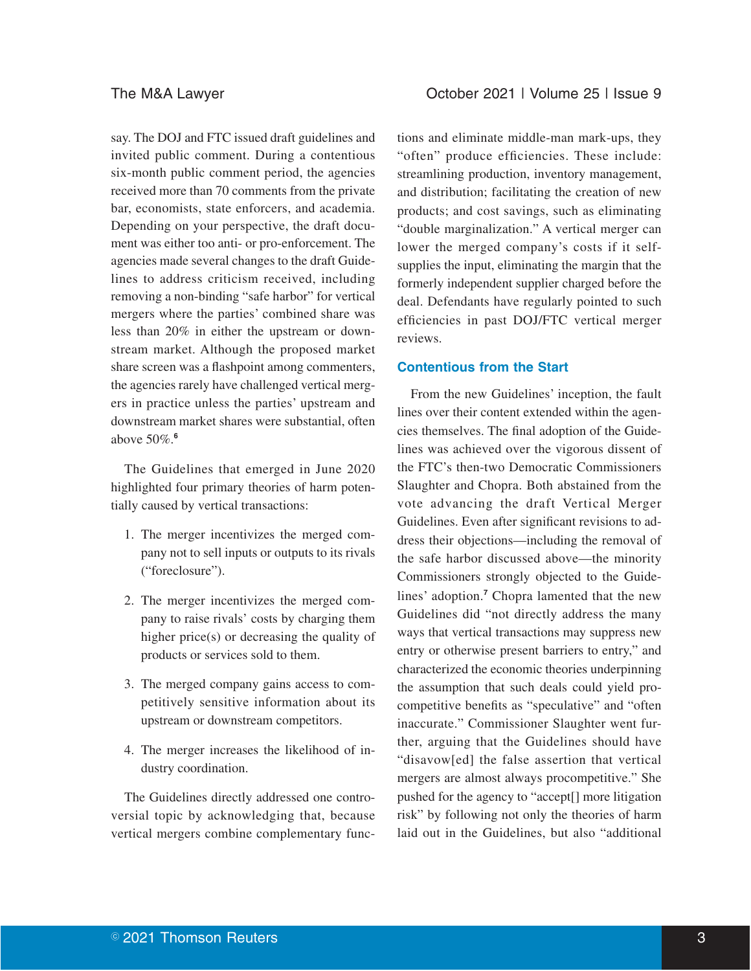say. The DOJ and FTC issued draft guidelines and invited public comment. During a contentious six-month public comment period, the agencies received more than 70 comments from the private bar, economists, state enforcers, and academia. Depending on your perspective, the draft document was either too anti- or pro-enforcement. The agencies made several changes to the draft Guidelines to address criticism received, including removing a non-binding "safe harbor" for vertical mergers where the parties' combined share was less than 20% in either the upstream or downstream market. Although the proposed market share screen was a flashpoint among commenters, the agencies rarely have challenged vertical mergers in practice unless the parties' upstream and downstream market shares were substantial, often above 50%.**<sup>6</sup>**

The Guidelines that emerged in June 2020 highlighted four primary theories of harm potentially caused by vertical transactions:

- 1. The merger incentivizes the merged company not to sell inputs or outputs to its rivals ("foreclosure").
- 2. The merger incentivizes the merged company to raise rivals' costs by charging them higher price(s) or decreasing the quality of products or services sold to them.
- 3. The merged company gains access to competitively sensitive information about its upstream or downstream competitors.
- 4. The merger increases the likelihood of industry coordination.

The Guidelines directly addressed one controversial topic by acknowledging that, because vertical mergers combine complementary func-

tions and eliminate middle-man mark-ups, they "often" produce efficiencies. These include: streamlining production, inventory management, and distribution; facilitating the creation of new products; and cost savings, such as eliminating "double marginalization." A vertical merger can lower the merged company's costs if it selfsupplies the input, eliminating the margin that the formerly independent supplier charged before the deal. Defendants have regularly pointed to such efficiencies in past DOJ/FTC vertical merger reviews.

#### **Contentious from the Start**

From the new Guidelines' inception, the fault lines over their content extended within the agencies themselves. The final adoption of the Guidelines was achieved over the vigorous dissent of the FTC's then-two Democratic Commissioners Slaughter and Chopra. Both abstained from the vote advancing the draft Vertical Merger Guidelines. Even after significant revisions to address their objections—including the removal of the safe harbor discussed above—the minority Commissioners strongly objected to the Guidelines' adoption.**<sup>7</sup>** Chopra lamented that the new Guidelines did "not directly address the many ways that vertical transactions may suppress new entry or otherwise present barriers to entry," and characterized the economic theories underpinning the assumption that such deals could yield procompetitive benefits as "speculative" and "often inaccurate." Commissioner Slaughter went further, arguing that the Guidelines should have "disavow[ed] the false assertion that vertical mergers are almost always procompetitive." She pushed for the agency to "accept[] more litigation risk" by following not only the theories of harm laid out in the Guidelines, but also "additional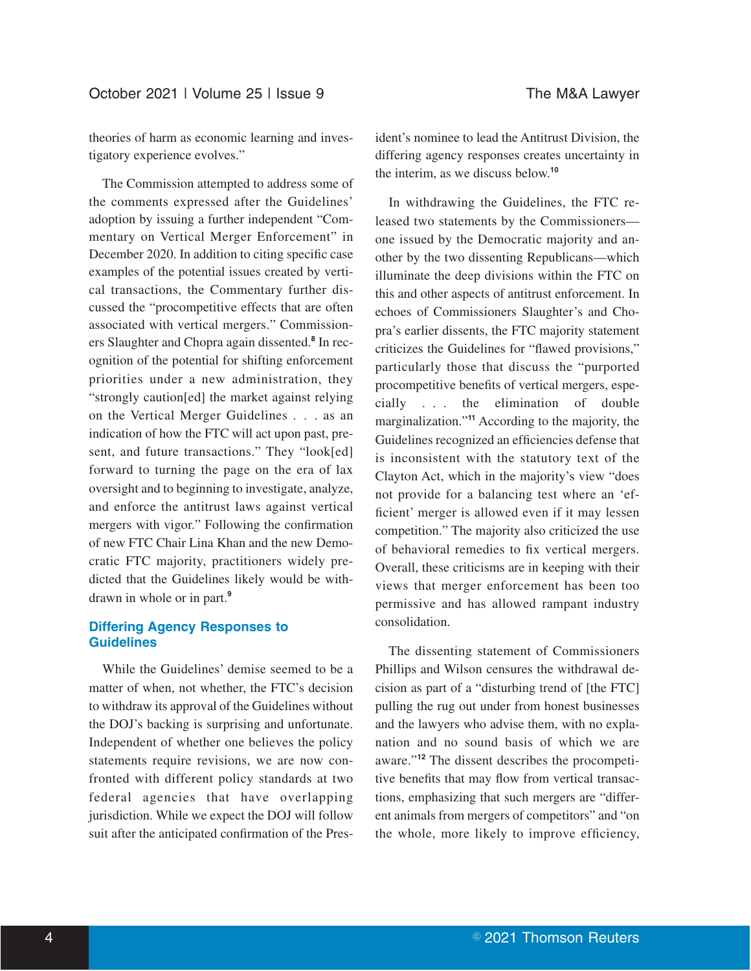theories of harm as economic learning and investigatory experience evolves."

The Commission attempted to address some of the comments expressed after the Guidelines' adoption by issuing a further independent "Commentary on Vertical Merger Enforcement" in December 2020. In addition to citing specific case examples of the potential issues created by vertical transactions, the Commentary further discussed the "procompetitive effects that are often associated with vertical mergers." Commissioners Slaughter and Chopra again dissented.**<sup>8</sup>** In recognition of the potential for shifting enforcement priorities under a new administration, they "strongly caution[ed] the market against relying on the Vertical Merger Guidelines . . . as an indication of how the FTC will act upon past, present, and future transactions." They "look[ed] forward to turning the page on the era of lax oversight and to beginning to investigate, analyze, and enforce the antitrust laws against vertical mergers with vigor." Following the confirmation of new FTC Chair Lina Khan and the new Democratic FTC majority, practitioners widely predicted that the Guidelines likely would be withdrawn in whole or in part.**<sup>9</sup>**

## **Differing Agency Responses to Guidelines**

While the Guidelines' demise seemed to be a matter of when, not whether, the FTC's decision to withdraw its approval of the Guidelines without the DOJ's backing is surprising and unfortunate. Independent of whether one believes the policy statements require revisions, we are now confronted with different policy standards at two federal agencies that have overlapping jurisdiction. While we expect the DOJ will follow suit after the anticipated confirmation of the President's nominee to lead the Antitrust Division, the differing agency responses creates uncertainty in the interim, as we discuss below.**<sup>10</sup>**

In withdrawing the Guidelines, the FTC released two statements by the Commissioners one issued by the Democratic majority and another by the two dissenting Republicans—which illuminate the deep divisions within the FTC on this and other aspects of antitrust enforcement. In echoes of Commissioners Slaughter's and Chopra's earlier dissents, the FTC majority statement criticizes the Guidelines for "flawed provisions," particularly those that discuss the "purported procompetitive benefits of vertical mergers, especially . . . the elimination of double marginalization."**<sup>11</sup>** According to the majority, the Guidelines recognized an efficiencies defense that is inconsistent with the statutory text of the Clayton Act, which in the majority's view "does not provide for a balancing test where an 'efficient' merger is allowed even if it may lessen competition." The majority also criticized the use of behavioral remedies to fix vertical mergers. Overall, these criticisms are in keeping with their views that merger enforcement has been too permissive and has allowed rampant industry consolidation.

The dissenting statement of Commissioners Phillips and Wilson censures the withdrawal decision as part of a "disturbing trend of [the FTC] pulling the rug out under from honest businesses and the lawyers who advise them, with no explanation and no sound basis of which we are aware."**<sup>12</sup>** The dissent describes the procompetitive benefits that may flow from vertical transactions, emphasizing that such mergers are "different animals from mergers of competitors" and "on the whole, more likely to improve efficiency,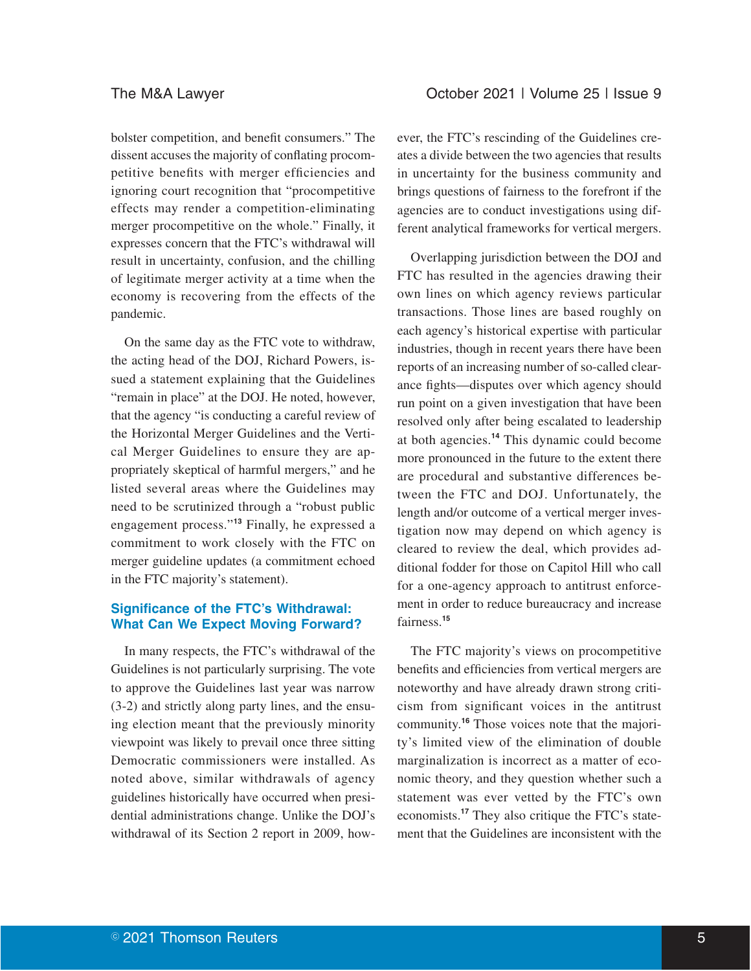bolster competition, and benefit consumers." The dissent accuses the majority of conflating procompetitive benefits with merger efficiencies and ignoring court recognition that "procompetitive effects may render a competition-eliminating merger procompetitive on the whole." Finally, it expresses concern that the FTC's withdrawal will result in uncertainty, confusion, and the chilling of legitimate merger activity at a time when the economy is recovering from the effects of the pandemic.

On the same day as the FTC vote to withdraw, the acting head of the DOJ, Richard Powers, issued a statement explaining that the Guidelines "remain in place" at the DOJ. He noted, however, that the agency "is conducting a careful review of the Horizontal Merger Guidelines and the Vertical Merger Guidelines to ensure they are appropriately skeptical of harmful mergers," and he listed several areas where the Guidelines may need to be scrutinized through a "robust public engagement process."**<sup>13</sup>** Finally, he expressed a commitment to work closely with the FTC on merger guideline updates (a commitment echoed in the FTC majority's statement).

# **Significance of the FTC's Withdrawal: What Can We Expect Moving Forward?**

In many respects, the FTC's withdrawal of the Guidelines is not particularly surprising. The vote to approve the Guidelines last year was narrow (3-2) and strictly along party lines, and the ensuing election meant that the previously minority viewpoint was likely to prevail once three sitting Democratic commissioners were installed. As noted above, similar withdrawals of agency guidelines historically have occurred when presidential administrations change. Unlike the DOJ's withdrawal of its Section 2 report in 2009, however, the FTC's rescinding of the Guidelines creates a divide between the two agencies that results in uncertainty for the business community and brings questions of fairness to the forefront if the agencies are to conduct investigations using different analytical frameworks for vertical mergers.

Overlapping jurisdiction between the DOJ and FTC has resulted in the agencies drawing their own lines on which agency reviews particular transactions. Those lines are based roughly on each agency's historical expertise with particular industries, though in recent years there have been reports of an increasing number of so-called clearance fights—disputes over which agency should run point on a given investigation that have been resolved only after being escalated to leadership at both agencies.**<sup>14</sup>** This dynamic could become more pronounced in the future to the extent there are procedural and substantive differences between the FTC and DOJ. Unfortunately, the length and/or outcome of a vertical merger investigation now may depend on which agency is cleared to review the deal, which provides additional fodder for those on Capitol Hill who call for a one-agency approach to antitrust enforcement in order to reduce bureaucracy and increase fairness.**<sup>15</sup>**

The FTC majority's views on procompetitive benefits and efficiencies from vertical mergers are noteworthy and have already drawn strong criticism from significant voices in the antitrust community.**<sup>16</sup>** Those voices note that the majority's limited view of the elimination of double marginalization is incorrect as a matter of economic theory, and they question whether such a statement was ever vetted by the FTC's own economists.**<sup>17</sup>** They also critique the FTC's statement that the Guidelines are inconsistent with the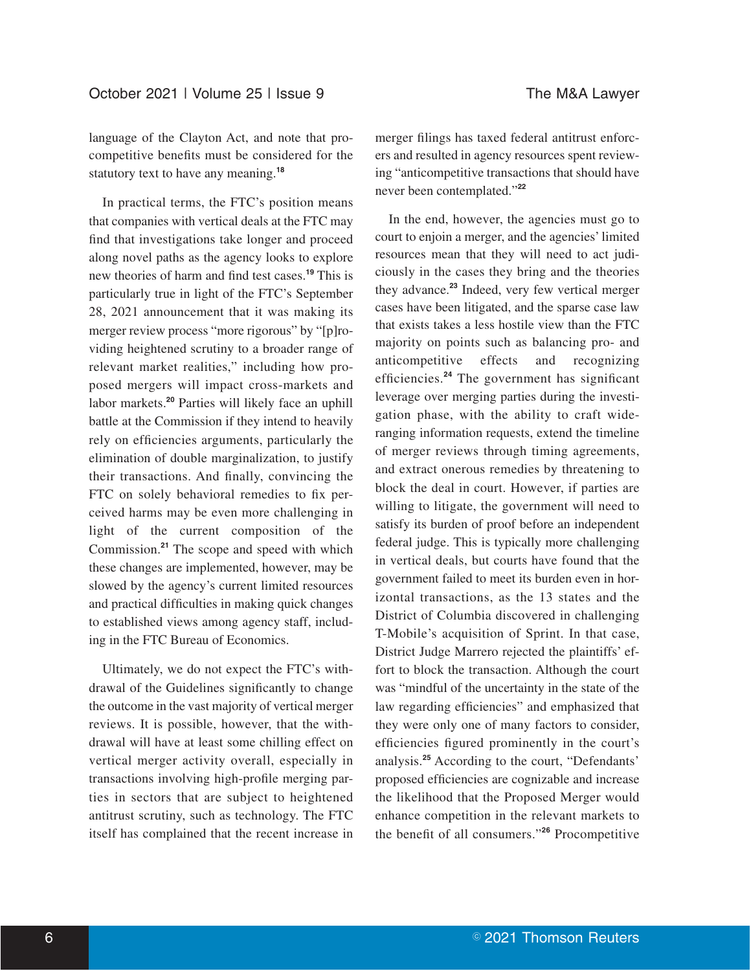language of the Clayton Act, and note that procompetitive benefits must be considered for the statutory text to have any meaning.**<sup>18</sup>**

In practical terms, the FTC's position means that companies with vertical deals at the FTC may find that investigations take longer and proceed along novel paths as the agency looks to explore new theories of harm and find test cases.**<sup>19</sup>** This is particularly true in light of the FTC's September 28, 2021 announcement that it was making its merger review process "more rigorous" by "[p]roviding heightened scrutiny to a broader range of relevant market realities," including how proposed mergers will impact cross-markets and labor markets.**<sup>20</sup>** Parties will likely face an uphill battle at the Commission if they intend to heavily rely on efficiencies arguments, particularly the elimination of double marginalization, to justify their transactions. And finally, convincing the FTC on solely behavioral remedies to fix perceived harms may be even more challenging in light of the current composition of the Commission.**<sup>21</sup>** The scope and speed with which these changes are implemented, however, may be slowed by the agency's current limited resources and practical difficulties in making quick changes to established views among agency staff, including in the FTC Bureau of Economics.

Ultimately, we do not expect the FTC's withdrawal of the Guidelines significantly to change the outcome in the vast majority of vertical merger reviews. It is possible, however, that the withdrawal will have at least some chilling effect on vertical merger activity overall, especially in transactions involving high-profile merging parties in sectors that are subject to heightened antitrust scrutiny, such as technology. The FTC itself has complained that the recent increase in merger filings has taxed federal antitrust enforcers and resulted in agency resources spent reviewing "anticompetitive transactions that should have never been contemplated."**<sup>22</sup>**

In the end, however, the agencies must go to court to enjoin a merger, and the agencies' limited resources mean that they will need to act judiciously in the cases they bring and the theories they advance.**<sup>23</sup>** Indeed, very few vertical merger cases have been litigated, and the sparse case law that exists takes a less hostile view than the FTC majority on points such as balancing pro- and anticompetitive effects and recognizing efficiencies.**<sup>24</sup>** The government has significant leverage over merging parties during the investigation phase, with the ability to craft wideranging information requests, extend the timeline of merger reviews through timing agreements, and extract onerous remedies by threatening to block the deal in court. However, if parties are willing to litigate, the government will need to satisfy its burden of proof before an independent federal judge. This is typically more challenging in vertical deals, but courts have found that the government failed to meet its burden even in horizontal transactions, as the 13 states and the District of Columbia discovered in challenging T-Mobile's acquisition of Sprint. In that case, District Judge Marrero rejected the plaintiffs' effort to block the transaction. Although the court was "mindful of the uncertainty in the state of the law regarding efficiencies" and emphasized that they were only one of many factors to consider, efficiencies figured prominently in the court's analysis.**<sup>25</sup>** According to the court, "Defendants' proposed efficiencies are cognizable and increase the likelihood that the Proposed Merger would enhance competition in the relevant markets to the benefit of all consumers."**<sup>26</sup>** Procompetitive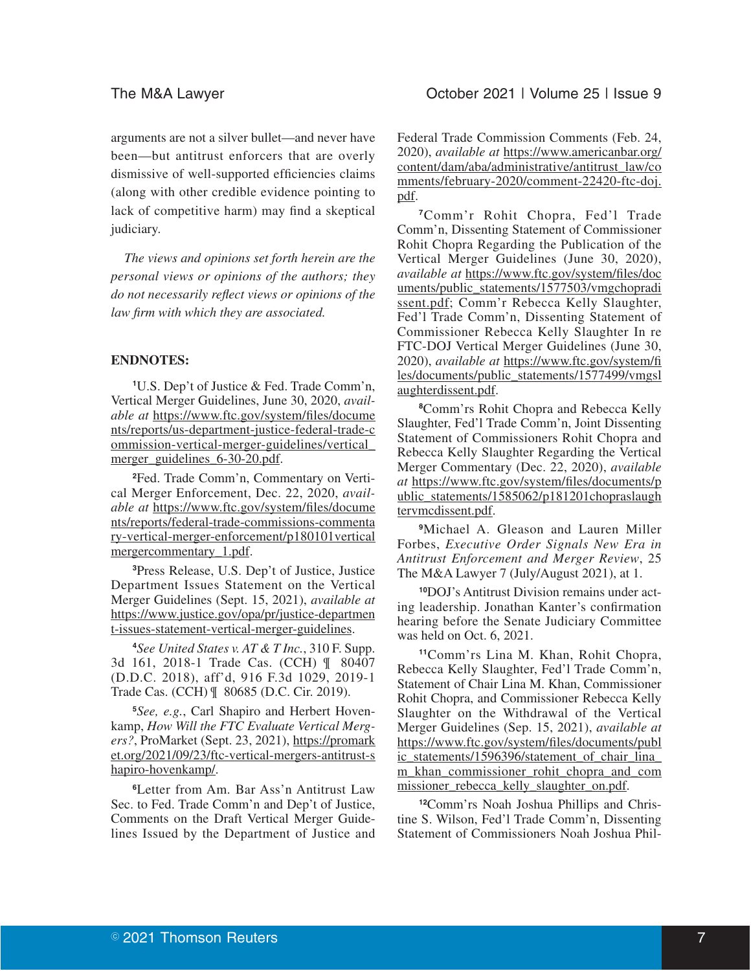arguments are not a silver bullet—and never have been—but antitrust enforcers that are overly dismissive of well-supported efficiencies claims (along with other credible evidence pointing to lack of competitive harm) may find a skeptical judiciary.

*The views and opinions set forth herein are the personal views or opinions of the authors; they do not necessarily reflect views or opinions of the law firm with which they are associated.*

# **ENDNOTES:**

**1** U.S. Dep't of Justice & Fed. Trade Comm'n, Vertical Merger Guidelines, June 30, 2020, *available at* https://www.ftc.gov/system/files/docume nts/reports/us-department-justice-federal-trade-c ommission-vertical-merger-guidelines/vertical\_ merger\_guidelines\_6-30-20.pdf.

**2** Fed. Trade Comm'n, Commentary on Vertical Merger Enforcement, Dec. 22, 2020, *available at* https://www.ftc.gov/system/files/docume nts/reports/federal-trade-commissions-commenta ry-vertical-merger-enforcement/p180101vertical mergercommentary\_1.pdf.

**3** Press Release, U.S. Dep't of Justice, Justice Department Issues Statement on the Vertical Merger Guidelines (Sept. 15, 2021), *available at* https://www.justice.gov/opa/pr/justice-departmen t-issues-statement-vertical-merger-guidelines.

**4** *See United States v. AT & T Inc.*, 310 F. Supp. 3d 161, 2018-1 Trade Cas. (CCH) ¶ 80407 (D.D.C. 2018), aff'd, 916 F.3d 1029, 2019-1 Trade Cas. (CCH) ¶ 80685 (D.C. Cir. 2019).

**5** *See, e.g.*, Carl Shapiro and Herbert Hovenkamp, *How Will the FTC Evaluate Vertical Mergers?*, ProMarket (Sept. 23, 2021), https://promark et.org/2021/09/23/ftc-vertical-mergers-antitrust-s hapiro-hovenkamp/.

**<sup>6</sup>**Letter from Am. Bar Ass'n Antitrust Law Sec. to Fed. Trade Comm'n and Dep't of Justice, Comments on the Draft Vertical Merger Guidelines Issued by the Department of Justice and

Federal Trade Commission Comments (Feb. 24, 2020), *available at* https://www.americanbar.org/ content/dam/aba/administrative/antitrust\_law/co mments/february-2020/comment-22420-ftc-doj. pdf.

**<sup>7</sup>**Comm'r Rohit Chopra, Fed'l Trade Comm'n, Dissenting Statement of Commissioner Rohit Chopra Regarding the Publication of the Vertical Merger Guidelines (June 30, 2020), *available at* https://www.ftc.gov/system/files/doc uments/public\_statements/1577503/vmgchopradi ssent.pdf; Comm'r Rebecca Kelly Slaughter, Fed'l Trade Comm'n, Dissenting Statement of Commissioner Rebecca Kelly Slaughter In re FTC-DOJ Vertical Merger Guidelines (June 30, 2020), *available at* https://www.ftc.gov/system/fi les/documents/public\_statements/1577499/vmgsl aughterdissent.pdf.

**8** Comm'rs Rohit Chopra and Rebecca Kelly Slaughter, Fed'l Trade Comm'n, Joint Dissenting Statement of Commissioners Rohit Chopra and Rebecca Kelly Slaughter Regarding the Vertical Merger Commentary (Dec. 22, 2020), *available at* https://www.ftc.gov/system/files/documents/p ublic\_statements/1585062/p181201chopraslaugh tervmcdissent.pdf.

**<sup>9</sup>**Michael A. Gleason and Lauren Miller Forbes, *Executive Order Signals New Era in Antitrust Enforcement and Merger Review*, 25 The M&A Lawyer 7 (July/August 2021), at 1.

**10**DOJ's Antitrust Division remains under acting leadership. Jonathan Kanter's confirmation hearing before the Senate Judiciary Committee was held on Oct. 6, 2021.

**<sup>11</sup>**Comm'rs Lina M. Khan, Rohit Chopra, Rebecca Kelly Slaughter, Fed'l Trade Comm'n, Statement of Chair Lina M. Khan, Commissioner Rohit Chopra, and Commissioner Rebecca Kelly Slaughter on the Withdrawal of the Vertical Merger Guidelines (Sep. 15, 2021), *available at* https://www.ftc.gov/system/files/documents/publ ic statements/1596396/statement of chair lina m\_khan\_commissioner\_rohit\_chopra\_and\_com missioner rebecca kelly slaughter on.pdf.

**12**Comm'rs Noah Joshua Phillips and Christine S. Wilson, Fed'l Trade Comm'n, Dissenting Statement of Commissioners Noah Joshua Phil-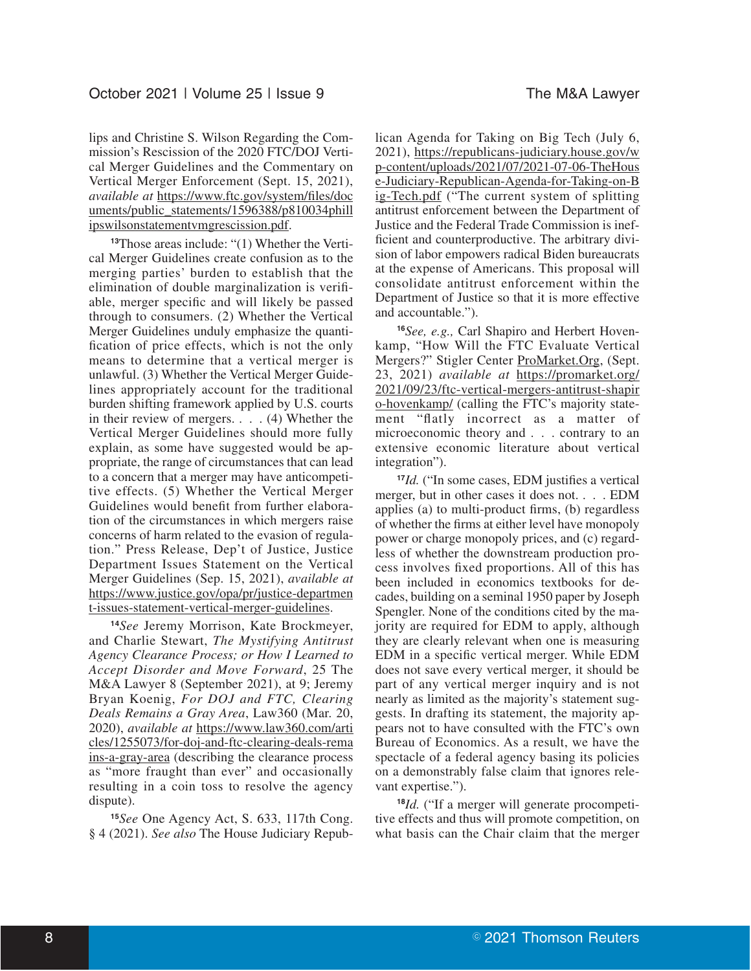lips and Christine S. Wilson Regarding the Commission's Rescission of the 2020 FTC/DOJ Vertical Merger Guidelines and the Commentary on Vertical Merger Enforcement (Sept. 15, 2021), *available at* https://www.ftc.gov/system/files/doc uments/public\_statements/1596388/p810034phill ipswilsonstatementvmgrescission.pdf.

**13**Those areas include: "(1) Whether the Vertical Merger Guidelines create confusion as to the merging parties' burden to establish that the elimination of double marginalization is verifiable, merger specific and will likely be passed through to consumers. (2) Whether the Vertical Merger Guidelines unduly emphasize the quantification of price effects, which is not the only means to determine that a vertical merger is unlawful. (3) Whether the Vertical Merger Guidelines appropriately account for the traditional burden shifting framework applied by U.S. courts in their review of mergers. . . . (4) Whether the Vertical Merger Guidelines should more fully explain, as some have suggested would be appropriate, the range of circumstances that can lead to a concern that a merger may have anticompetitive effects. (5) Whether the Vertical Merger Guidelines would benefit from further elaboration of the circumstances in which mergers raise concerns of harm related to the evasion of regulation." Press Release, Dep't of Justice, Justice Department Issues Statement on the Vertical Merger Guidelines (Sep. 15, 2021), *available at* https://www.justice.gov/opa/pr/justice-departmen t-issues-statement-vertical-merger-guidelines.

**<sup>14</sup>***See* Jeremy Morrison, Kate Brockmeyer, and Charlie Stewart, *The Mystifying Antitrust Agency Clearance Process; or How I Learned to Accept Disorder and Move Forward*, 25 The M&A Lawyer 8 (September 2021), at 9; Jeremy Bryan Koenig, *For DOJ and FTC, Clearing Deals Remains a Gray Area*, Law360 (Mar. 20, 2020), *available at* https://www.law360.com/arti cles/1255073/for-doj-and-ftc-clearing-deals-rema ins-a-gray-area (describing the clearance process as "more fraught than ever" and occasionally resulting in a coin toss to resolve the agency dispute).

**<sup>15</sup>***See* One Agency Act, S. 633, 117th Cong. § 4 (2021). *See also* The House Judiciary Republican Agenda for Taking on Big Tech (July 6, 2021), https://republicans-judiciary.house.gov/w p-content/uploads/2021/07/2021-07-06-TheHous e-Judiciary-Republican-Agenda-for-Taking-on-B ig-Tech.pdf ("The current system of splitting antitrust enforcement between the Department of Justice and the Federal Trade Commission is inefficient and counterproductive. The arbitrary division of labor empowers radical Biden bureaucrats at the expense of Americans. This proposal will consolidate antitrust enforcement within the Department of Justice so that it is more effective and accountable.").

**<sup>16</sup>***See, e.g.,* Carl Shapiro and Herbert Hovenkamp, "How Will the FTC Evaluate Vertical Mergers?" Stigler Center ProMarket.Org, (Sept. 23, 2021) *available at* https://promarket.org/ 2021/09/23/ftc-vertical-mergers-antitrust-shapir o-hovenkamp/ (calling the FTC's majority statement "flatly incorrect as a matter of microeconomic theory and . . . contrary to an extensive economic literature about vertical integration").

**<sup>17</sup>***Id.* ("In some cases, EDM justifies a vertical merger, but in other cases it does not. . . . EDM applies (a) to multi-product firms, (b) regardless of whether the firms at either level have monopoly power or charge monopoly prices, and (c) regardless of whether the downstream production process involves fixed proportions. All of this has been included in economics textbooks for decades, building on a seminal 1950 paper by Joseph Spengler. None of the conditions cited by the majority are required for EDM to apply, although they are clearly relevant when one is measuring EDM in a specific vertical merger. While EDM does not save every vertical merger, it should be part of any vertical merger inquiry and is not nearly as limited as the majority's statement suggests. In drafting its statement, the majority appears not to have consulted with the FTC's own Bureau of Economics. As a result, we have the spectacle of a federal agency basing its policies on a demonstrably false claim that ignores relevant expertise.").

**<sup>18</sup>***Id.* ("If a merger will generate procompetitive effects and thus will promote competition, on what basis can the Chair claim that the merger